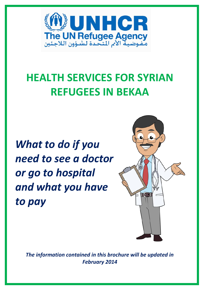

# **HEALTH SERVICES FOR SYRIAN REFUGEES IN BEKAA**

*What to do if you need to see a doctor or go to hospital and what you have to pay*



*The information contained in this brochure will be updated in February 2014*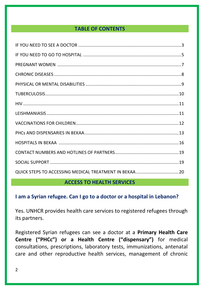## **TABLE OF CONTENTS**

#### **ACCESS TO HEALTH SERVICES**

## **I am a Syrian refugee. Can I go to a doctor or a hospital in Lebanon?**

Yes. UNHCR provides health care services to registered refugees through its partners.

Registered Syrian refugees can see a doctor at a **Primary Health Care Centre ("PHCc") or a Health Centre ("dispensary")** for medical consultations, prescriptions, laboratory tests, immunizations, antenatal care and other reproductive health services, management of chronic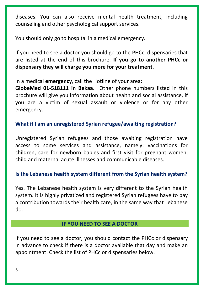diseases. You can also receive mental health treatment, including counseling and other psychological support services.

You should only go to hospital in a medical emergency.

If you need to see a doctor you should go to the PHCc, dispensaries that are listed at the end of this brochure. **If you go to another PHCc or dispensary they will charge you more for your treatment.**

In a medical **emergency**, call the Hotline of your area:

**GlobeMed 01-518111 in Bekaa**. Other phone numbers listed in this brochure will give you information about health and social assistance, if you are a victim of sexual assault or violence or for any other emergency.

## **What if I am an unregistered Syrian refugee/awaiting registration?**

Unregistered Syrian refugees and those awaiting registration have access to some services and assistance, namely: vaccinations for children, care for newborn babies and first visit for pregnant women, child and maternal acute illnesses and communicable diseases.

#### **Is the Lebanese health system different from the Syrian health system?**

Yes. The Lebanese health system is very different to the Syrian health system. It is highly privatized and registered Syrian refugees have to pay a contribution towards their health care, in the same way that Lebanese do.

#### **IF YOU NEED TO SEE A DOCTOR**

If you need to see a doctor, you should contact the PHCc or dispensary in advance to check if there is a doctor available that day and make an appointment. Check the list of PHCc or dispensaries below.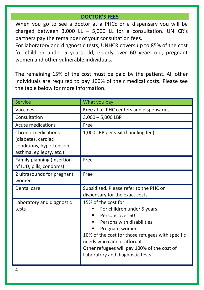#### **DOCTOR'S FEES**

When you go to see a doctor at a PHCc or a dispensary you will be charged between 3,000 LL – 5,000 LL for a consultation. UNHCR's partners pay the remainder of your consultation fees.

For laboratory and diagnostic tests, UNHCR covers up to 85% of the cost for children under 5 years old, elderly over 60 years old, pregnant women and other vulnerable individuals.

The remaining 15% of the cost must be paid by the patient. All other individuals are required to pay 100% of their medical costs. Please see the table below for more information.

| <b>Service</b>                                                                                           | What you pay                                                                                                                                                                                                                                                                                             |
|----------------------------------------------------------------------------------------------------------|----------------------------------------------------------------------------------------------------------------------------------------------------------------------------------------------------------------------------------------------------------------------------------------------------------|
| Vaccines                                                                                                 | Free at all PHC centers and dispensaries                                                                                                                                                                                                                                                                 |
| Consultation                                                                                             | $3,000 - 5,000$ LBP                                                                                                                                                                                                                                                                                      |
| Acute medications                                                                                        | Free                                                                                                                                                                                                                                                                                                     |
| <b>Chronic medications</b><br>(diabetes, cardiac<br>conditions, hypertension,<br>asthma, epilepsy, etc.) | 1,000 LBP per visit (handling fee)                                                                                                                                                                                                                                                                       |
| Family planning (Insertion<br>of IUD, pills, condoms)                                                    | Free                                                                                                                                                                                                                                                                                                     |
| 2 ultrasounds for pregnant<br>women                                                                      | Free                                                                                                                                                                                                                                                                                                     |
| Dental care                                                                                              | Subsidised. Please refer to the PHC or<br>dispensary for the exact costs.                                                                                                                                                                                                                                |
| Laboratory and diagnostic<br>tests                                                                       | 15% of the cost for<br>For children under 5 years<br>Persons over 60<br>٠<br>Persons with disabilities<br>٠<br>Pregnant women<br>п<br>10% of the cost for those refugees with specific<br>needs who cannot afford it.<br>Other refugees will pay 100% of the cost of<br>Laboratory and diagnostic tests. |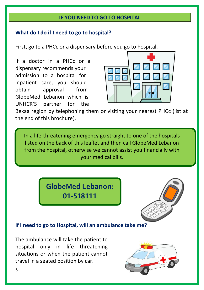#### **IF YOU NEED TO GO TO HOSPITAL**

#### **What do I do if I need to go to hospital?**

First, go to a PHCc or a dispensary before you go to hospital.

If a doctor in a PHCc or a dispensary recommends your admission to a hospital for inpatient care, you should obtain approval from GlobeMed Lebanon which is UNHCR'S partner for the



Bekaa region by telephoning them or visiting your nearest PHCc (list at the end of this brochure).

In a life-threatening emergency go straight to one of the hospitals listed on the back of this leaflet and then call GlobeMed Lebanon from the hospital, otherwise we cannot assist you financially with your medical bills.

> **GlobeMed Lebanon: 01-518111**



### **If I need to go to Hospital, will an ambulance take me?**

The ambulance will take the patient to hospital only in life threatening situations or when the patient cannot travel in a seated position by car.

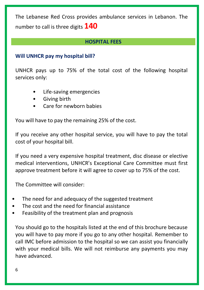The Lebanese Red Cross provides ambulance services in Lebanon. The number to call is three digits **140**

### **HOSPITAL FEES**

## **Will UNHCR pay my hospital bill?**

UNHCR pays up to 75% of the total cost of the following hospital services only:

- Life-saving emergencies
- Giving birth
- Care for newborn babies

You will have to pay the remaining 25% of the cost.

If you receive any other hospital service, you will have to pay the total cost of your hospital bill.

If you need a very expensive hospital treatment, disc disease or elective medical interventions, UNHCR's Exceptional Care Committee must first approve treatment before it will agree to cover up to 75% of the cost.

The Committee will consider:

- The need for and adequacy of the suggested treatment
- The cost and the need for financial assistance
- Feasibility of the treatment plan and prognosis

You should go to the hospitals listed at the end of this brochure because you will have to pay more if you go to any other hospital. Remember to call IMC before admission to the hospital so we can assist you financially with your medical bills. We will not reimburse any payments you may have advanced.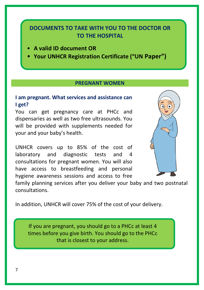# **DOCUMENTS TO TAKE WITH YOU TO THE DOCTOR OR TO THE HOSPITAL**

- **A valid ID document OR**
- **Your UNHCR Registration Certificate ("UN Paper")**

#### **PREGNANT WOMEN**

#### **I am pregnant. What services and assistance can I get?**

You can get pregnancy care at PHCc and dispensaries as well as two free ultrasounds. You will be provided with supplements needed for your and your baby's health.

UNHCR covers up to 85% of the cost of laboratory and diagnostic tests and 4 consultations for pregnant women. You will also have access to breastfeeding and personal hygiene awareness sessions and access to free



family planning services after you deliver your baby and two postnatal consultations.

In addition, UNHCR will cover 75% of the cost of your delivery.

If you are pregnant, you should go to a PHCc at least 4 times before you give birth. You should go to the PHCc that is closest to your address.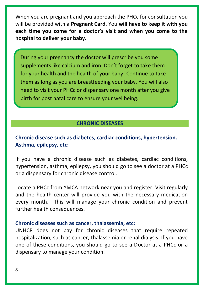When you are pregnant and you approach the PHCc for consultation you will be provided with a **Pregnant Card**. You **will have to keep it with you each time you come for a doctor's visit and when you come to the hospital to deliver your baby.**

During your pregnancy the doctor will prescribe you some supplements like calcium and iron. Don't forget to take them for your health and the health of your baby! Continue to take them as long as you are breastfeeding your baby. You will also need to visit your PHCc or dispensary one month after you give birth for post natal care to ensure your wellbeing.

#### **CHRONIC DISEASES**

## **Chronic disease such as diabetes, cardiac conditions, hypertension. Asthma, epilepsy, etc:**

If you have a chronic disease such as diabetes, cardiac conditions, hypertension, asthma, epilepsy, you should go to see a doctor at a PHCc or a dispensary for chronic disease control.

Locate a PHCc from YMCA network near you and register. Visit regularly and the health center will provide you with the necessary medication every month. This will manage your chronic condition and prevent further health consequences.

#### **Chronic diseases such as cancer, thalassemia, etc:**

UNHCR does not pay for chronic diseases that require repeated hospitalization, such as cancer, thalassemia or renal dialysis. If you have one of these conditions, you should go to see a Doctor at a PHCc or a dispensary to manage your condition.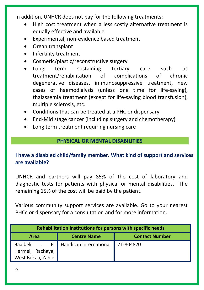In addition, UNHCR does not pay for the following treatments:

- High cost treatment when a less costly alternative treatment is equally effective and available
- Experimental, non-evidence based treatment
- Organ transplant
- Infertility treatment
- Cosmetic/plastic/reconstructive surgery
- Long term sustaining tertiary care such as treatment/rehabilitation of complications of chronic degenerative diseases, immunosuppressive treatment, new cases of haemodialysis (unless one time for life-saving), thalassemia treatment (except for life-saving blood transfusion), multiple sclerosis, etc.
- Conditions that can be treated at a PHC or dispensary
- End-Mid stage cancer (including surgery and chemotherapy)
- Long term treatment requiring nursing care

## **PHYSICAL OR MENTAL DISABILITIES**

## **I have a disabled child/family member. What kind of support and services are available?**

UNHCR and partners will pay 85% of the cost of laboratory and diagnostic tests for patients with physical or mental disabilities. The remaining 15% of the cost will be paid by the patient.

Various community support services are available. Go to your nearest PHCc or dispensary for a consultation and for more information.

| Rehabilitation Institutions for persons with specific needs |                                     |                       |  |  |  |  |  |  |
|-------------------------------------------------------------|-------------------------------------|-----------------------|--|--|--|--|--|--|
| Area                                                        | <b>Centre Name</b>                  | <b>Contact Number</b> |  |  |  |  |  |  |
| Baalbek<br>Hermel, Rachaya,<br>West Bekaa, Zahle            | El Handicap International 71-804820 |                       |  |  |  |  |  |  |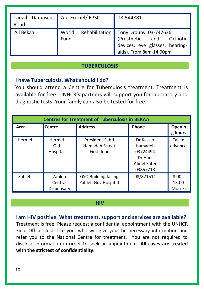| Tanaïl: Damascus Arc-En-ciel/FPSC<br>Road |               | 08-544881                                                                                                                        |  |  |
|-------------------------------------------|---------------|----------------------------------------------------------------------------------------------------------------------------------|--|--|
| All Bekaa                                 | World<br>Fund | Rehabilitation   Tony Drouby: 03-747636<br>(Prosthetic and Orthotic<br>devices, eye glasses, hearing-<br>aids). From 8am-14.00pm |  |  |

#### **TUBERCULOSIS**

#### **I have Tuberculosis. What should I do?**

You should attend a Centre for Tuberculosis treatment. Treatment is available for free. UNHCR's partners will support you for laboratory and diagnostic tests. Your family can also be tested for free.

| <b>Centres for Treatment of Tuberculosis in BEKAA</b> |                                 |                                                   |                                                                        |                              |  |  |  |  |
|-------------------------------------------------------|---------------------------------|---------------------------------------------------|------------------------------------------------------------------------|------------------------------|--|--|--|--|
| Area                                                  | <b>Centre</b>                   | <b>Address</b>                                    | Phone                                                                  | Openin<br>g hours            |  |  |  |  |
| Hermel                                                | Hermel<br>Old<br>Hospital       | President Sabri<br>Hamadeh Street<br>First floor  | Dr Kasser<br>Hamadeh<br>03724494<br>Dr Hani<br>Abdel Sater<br>03857718 | Call in<br>advance           |  |  |  |  |
| Zahleh                                                | Zahleh<br>Central<br>Dispensary | <b>GSO Building facing</b><br>Zahleh Gov Hospital | 08/821511                                                              | $8.00 -$<br>13.00<br>Mon-Fri |  |  |  |  |

#### **HIV**

#### **I am HIV positive. What treatment, support and services are available?**

Treatment is free. Please request a confidential appointment with the UNHCR Field Office closest to you, who will give you the necessary information and refer you to the National Centre for treatment. You are not required to disclose information in order to seek an appointment. **All cases are treated with the strictest of confidentiality.**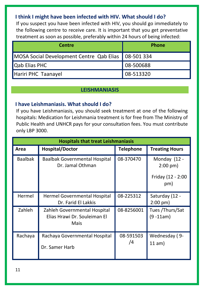## **I think I might have been infected with HIV. What should I do?**

If you suspect you have been infected with HIV, you should go immediately to the following centre to receive care. It is important that you get preventative treatment as soon as possible, preferably within 24 hours of being infected:

| <b>Centre</b>                                         | <b>Phone</b> |  |  |
|-------------------------------------------------------|--------------|--|--|
| MOSA Social Development Centre Qab Elias   08-501 334 |              |  |  |
| <b>Qab Elias PHC</b>                                  | 08-500688    |  |  |
| Hariri PHC Taanayel                                   | 08-513320    |  |  |

#### **LEISHMANIASIS**

#### **I have Leishmaniasis. What should I do?**

If you have Leishmaniasis, you should seek treatment at one of the following hospitals: Medication for Leishmania treatment is for free from The Ministry of Public Health and UNHCR pays for your consultation fees. You must contribute only LBP 3000.

|                | <b>Hospitals that treat Leishmaniasis</b>                            |                  |                                                               |  |  |  |  |  |
|----------------|----------------------------------------------------------------------|------------------|---------------------------------------------------------------|--|--|--|--|--|
| Area           | <b>Hospital/Doctor</b>                                               | <b>Telephone</b> | <b>Treating Hours</b>                                         |  |  |  |  |  |
| <b>Baalbak</b> | Baalbak Governmental Hospital<br>Dr. Jamal Othman                    | 08-370470        | Monday (12 -<br>$2:00 \text{ pm}$<br>Friday (12 - 2:00<br>pm) |  |  |  |  |  |
| Hermel         | Hermel Governmental Hospital<br>Dr. Farid El Lakkis                  | 08-225312        | Saturday (12 -<br>$2:00$ pm)                                  |  |  |  |  |  |
| Zahleh         | Zahleh Governmental Hospital<br>Elias Hrawi Dr. Souleiman El<br>Mais | 08-8256001       | Tues / Thurs/Sat<br>$(9 - 11am)$                              |  |  |  |  |  |
| Rachaya        | Rachaya Governmental Hospital<br>Dr. Samer Harb                      | 08-591503<br>/4  | Wednesday (9-<br>11 am)                                       |  |  |  |  |  |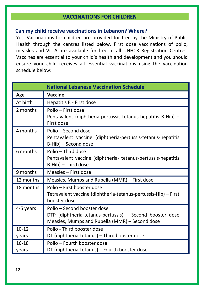#### **VACCINATIONS FOR CHILDREN**

#### **Can my child receive vaccinations in Lebanon? Where?**

Yes. Vaccinations for children are provided for free by the Ministry of Public Health through the centres listed below. First dose vaccinations of polio, measles and Vit A are available for free at all UNHCR Registration Centres. Vaccines are essential to your child's health and development and you should ensure your child receives all essential vaccinations using the vaccination schedule below:

|                    | <b>National Lebanese Vaccination Schedule</b>                                                                                             |  |  |  |  |  |
|--------------------|-------------------------------------------------------------------------------------------------------------------------------------------|--|--|--|--|--|
| Age                | Vaccine                                                                                                                                   |  |  |  |  |  |
| At birth           | Hepatitis B - First dose                                                                                                                  |  |  |  |  |  |
| 2 months           | Polio – First dose<br>Pentavalent (diphtheria-pertussis-tetanus-hepatitis B-Hib) -<br>First dose                                          |  |  |  |  |  |
| 4 months           | Polio - Second dose<br>Pentavalent vaccine (diphtheria-pertussis-tetanus-hepatitis<br>B-Hib) - Second dose                                |  |  |  |  |  |
| 6 months           | Polio – Third dose<br>Pentavalent vaccine (diphtheria- tetanus-pertussis-hepatitis<br>B-Hib) - Third dose                                 |  |  |  |  |  |
| 9 months           | Measles - First dose                                                                                                                      |  |  |  |  |  |
| 12 months          | Measles, Mumps and Rubella (MMR) - First dose                                                                                             |  |  |  |  |  |
| 18 months          | Polio - First booster dose<br>Tetravalent vaccine (diphtheria-tetanus-pertussis-Hib) - First<br>booster dose                              |  |  |  |  |  |
| 4-5 years          | Polio – Second booster dose<br>DTP (diphtheria-tetanus-pertussis) - Second booster dose<br>Measles, Mumps and Rubella (MMR) - Second dose |  |  |  |  |  |
| $10 - 12$<br>years | Polio - Third booster dose<br>DT (diphtheria-tetanus) - Third booster dose                                                                |  |  |  |  |  |
| $16-18$            | Polio - Fourth booster dose                                                                                                               |  |  |  |  |  |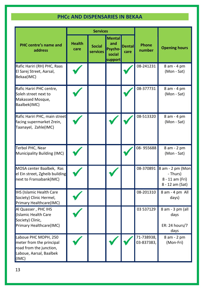## **PHCc AND DISPENSARIES IN BEKAA**

|                                                                                                                 | <b>Services</b>       |                           |                                                      |                       |                          |                                                                    |
|-----------------------------------------------------------------------------------------------------------------|-----------------------|---------------------------|------------------------------------------------------|-----------------------|--------------------------|--------------------------------------------------------------------|
| PHC centre's name and<br>address                                                                                | <b>Health</b><br>care | <b>Social</b><br>services | <b>Mental</b><br>and<br>Psycho-<br>social<br>support | <b>Dental</b><br>care | Phone<br>number          | <b>Opening hours</b>                                               |
| Rafic Hariri (RH) PHC, Raas<br>El Sarej Street, Aarsal,<br>Bekaa(IMC)                                           |                       |                           |                                                      |                       | 08-241231                | 8 am - 4 pm<br>(Mon - Sat)                                         |
| Rafic Hariri PHC centre,<br>Soleh street next to<br>Makassed Mosque,<br>Baalbek(IMC)                            |                       |                           |                                                      |                       | 08-377731                | 8 am - 4 pm<br>(Mon - Sat)                                         |
| Rafic Hariri PHC, main street<br>facing supermarket Zrein,<br>Taanayel, Zahle(IMC)                              |                       |                           |                                                      |                       | 08-513320                | 8 am - 4 pm<br>(Mon - Sat)                                         |
| Terbol PHC, Near<br>Municipality Building (IMC)                                                                 |                       |                           |                                                      |                       | 08-955688                | 8 am - 2 pm<br>(Mon - Sat)                                         |
| MOSA center Baalbek, Ras<br>el Ein street, Zgheib building<br>next to Fransabank(IMC)                           |                       |                           |                                                      |                       | 08-370891                | 8 am - 2 pm (Mon<br>- Thurs)<br>8 - 11 am (Fri)<br>8 - 12 am (Sat) |
| <b>IHS (Islamic Health Care</b><br>Society) Clinic Hermel,<br>Primary Healthcare(IMC)                           |                       |                           |                                                      |                       | 08-201310                | 8 am - 4 pm All<br>days)                                           |
| Al Quasser, PHC IHS<br>(Islamic Health Care<br>Society) Clinic,<br>Primary Healthcare(IMC)                      |                       |                           |                                                      |                       | 03 537129                | 8 am - 3 pm (all<br>days<br>ER: 24 hours/7<br>days                 |
| Laboue PHC MOPH, 250<br>meter from the principal<br>road from the junction,<br>Laboue, Aarsal, Baalbek<br>(IMC) |                       |                           |                                                      |                       | 71-738938,<br>03-837383, | 8 am - 2 pm<br>(Mon-Fri)                                           |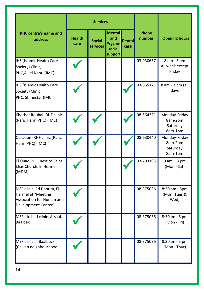|                                                                                                            |                       | <b>Services</b>           |                                                      |                       |                 |                                                 |  |
|------------------------------------------------------------------------------------------------------------|-----------------------|---------------------------|------------------------------------------------------|-----------------------|-----------------|-------------------------------------------------|--|
| <b>PHC centre's name and</b><br>address                                                                    | <b>Health</b><br>care | <b>Social</b><br>services | <b>Mental</b><br>and<br>Psycho-<br>social<br>support | <b>Dental</b><br>care | Phone<br>number | <b>Opening hours</b>                            |  |
| IHS (Islamic Health Care<br>Society) Clinic,<br>PHC, Ali el Nahri (IMC)                                    |                       |                           |                                                      |                       | 03-930667       | 8 am - 3 pm<br>All week except<br>Friday        |  |
| IHS (Islamic Health Care<br>Society) Clinic,<br>PHC, Shmestar (IMC)                                        |                       |                           |                                                      |                       | 03-565171       | 8 am - 3 pm (all<br>days                        |  |
| Kherbet Rouhal -RHF clinic<br>(Rafic Heriri PHC) (IMC)                                                     |                       |                           |                                                      |                       | 08-564321       | Monday-Friday<br>8am-2pm<br>Saturday<br>8am-1pm |  |
| Qaraoun - RHF clinic (Rafic<br>Heriri PHC) (IMC)                                                           |                       |                           |                                                      |                       | 08-630440       | Monday-Friday<br>8am-2pm<br>Saturday<br>8am-1pm |  |
| El Ouaq PHC, next to Saint<br>Elias Church, El Hermel<br>(MDM)                                             |                       |                           |                                                      |                       | 03-703193       | $9$ am $-3$ pm<br>(Mon - Sat)                   |  |
| MSF clinic, Ed Daoura, El<br><b>Hermel at "Meeting</b><br>Association for Human and<br>Development Center' |                       |                           |                                                      |                       | 08-375036       | 8:30 am - 5pm<br>(Mon, Tues &<br>Wed)           |  |
| MSF - Irchad clinic, Arsaal,<br><b>Baalbek</b>                                                             |                       |                           |                                                      |                       | 08-375036       | 8:30am - 5 pm<br>(Mon - Fri)                    |  |
| <b>MSF clinic in Baalbeck</b><br>(Chikan neighbourhood                                                     |                       |                           |                                                      |                       | 08-375036       | 8:30am - 5 pm<br>(Mon - Thur)                   |  |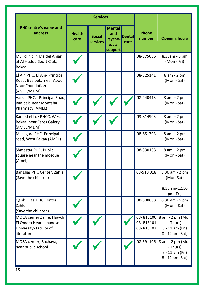|                                                                                                   |                       | <b>Services</b>                  |                                                      |                |                        |                                                                              |
|---------------------------------------------------------------------------------------------------|-----------------------|----------------------------------|------------------------------------------------------|----------------|------------------------|------------------------------------------------------------------------------|
| <b>PHC centre's name and</b><br>address                                                           | <b>Health</b><br>care | <b>Social</b><br><b>services</b> | <b>Mental</b><br>and<br>Psycho-<br>social<br>support | Dental<br>care | Phone<br>number        | <b>Opening hours</b>                                                         |
| MSF clinic in Majdel Anjar<br>at Al Hudod Sport Club,<br>Bekaa                                    |                       |                                  |                                                      |                | 08-375036              | 8.30am - 5 pm<br>(Mon - Fri)                                                 |
| El Ain PHC, El Ain- Principal<br>Road, Baalbek, near Abou<br><b>Nour Foundation</b><br>(AMEL/MDM) |                       |                                  |                                                      |                | 08-325141              | 8 am - 2 pm<br>(Mon - Sat)                                                   |
| Aarsal PHC, Principal Road,<br>Baalbek, near Montaha<br>Pharmacy (AMEL)                           |                       |                                  |                                                      |                | 08-240413              | $8 am - 2 pm$<br>(Mon - Sat)                                                 |
| Kamed el Loz PHCC, West<br>Bekaa, near Fares Galery<br>(AMEL/MDM)                                 |                       |                                  |                                                      |                | 03-814903              | $8 am - 2 pm$<br>(Mon - Sat)                                                 |
| Machgara PHC, Principal<br>road, West Bekaa (AMEL)                                                |                       |                                  |                                                      |                | 08-651703              | $8 am - 2 pm$<br>(Mon - Sat)                                                 |
| Shmestar PHC, Public<br>square near the mosque<br>(Amel)                                          |                       |                                  |                                                      |                | 08-330138              | $8 am - 2 pm$<br>(Mon - Sat)                                                 |
| Bar Elias PHC Center, Zahle<br>(Save the children)                                                |                       |                                  |                                                      |                | 08-510 018             | 8:30 am - 2 pm<br>(Mon-Sat)<br>8:30 am-12:30<br>pm (Fri)                     |
| Qabb Elias PHC Center,<br>Zahle<br>(Save the children)                                            |                       |                                  |                                                      |                | 08-500688              | 8:30 am - 5 pm<br>(Mon - Sat)                                                |
| MOSA center Zahle, Hawch<br>El Omara Near Lebanese<br>University-faculty of<br>literature         |                       |                                  |                                                      |                | 08-815101<br>08-815102 | 08-815100 8 am - 2 pm (Mon<br>- Thurs)<br>8 - 11 am (Fri)<br>8 - 12 am (Sat) |
| MOSA center, Rachaya,<br>near public school                                                       |                       |                                  |                                                      |                | 08-591106              | 8 am - 2 pm (Mon<br>- Thurs)<br>8 - 11 am (Fri)<br>8 - 12 am (Sat)           |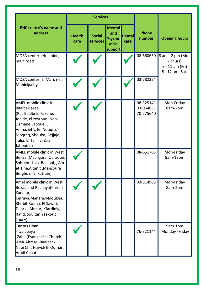|                                                                                                                                                                                                                |                       | <b>Services</b>           |                                                             |                       |                                     |                                                                    |  |
|----------------------------------------------------------------------------------------------------------------------------------------------------------------------------------------------------------------|-----------------------|---------------------------|-------------------------------------------------------------|-----------------------|-------------------------------------|--------------------------------------------------------------------|--|
| <b>PHC centre's name and</b><br>address                                                                                                                                                                        | <b>Health</b><br>care | <b>Social</b><br>services | <b>Mental</b><br>and<br><b>Psycho-</b><br>social<br>support | <b>Dental</b><br>care | Phone<br>number                     | <b>Opening hours</b>                                               |  |
| MOSA center Jeb Janine,<br>main road                                                                                                                                                                           |                       |                           |                                                             |                       | 08-660650                           | 8 am - 2 pm (Mon<br>- Thurs)<br>8 - 11 am (Fri)<br>8 - 12 am (Sat) |  |
| MOSA center, El Marj, near<br>Municipality                                                                                                                                                                     |                       |                           |                                                             |                       | 03-782324                           |                                                                    |  |
| AMEL mobile clinic in<br>Baalbek area<br>(Ras Baalbek, Fakehe,<br>Jdaide, el zeytoun, Nabi<br>Osmane, Laboue, El<br>Amhazieh\, En Nouqra,<br>Moqraq, Sbouba, Bejjaje,<br>Talia, El Tall, El Zira,<br>Jabboule) |                       |                           |                                                             |                       | 08-325141<br>03-064851<br>70-275640 | Mon-Friday<br>8am-2pm                                              |  |
| AMEL mobile clinic in West<br>Bekaa (Machgara, Qaraoun,<br>Sohmor, Lala, Baaloul, , Ain<br>et Tine, Aitanit, Mansoura<br>Berghoz, El Katrani)                                                                  |                       |                           |                                                             |                       | 08-651703                           | Mon-Friday<br>8am-12pm                                             |  |
| Amel mobile clinic in West<br>Bekaa and Rachaya(Khirbit<br>Kanafar,<br>Kefraya, Manara, Mdoukha,<br>Khirbit Rouha, El Sawiri,<br>Dahr el Ahmar, Kfardinis,<br>Rafid, Soultan Yaakoub,<br>Loucy)                |                       |                           |                                                             |                       | 03-814903                           | Mon-Friday<br>8am-2pm                                              |  |
| Caritas Liban,<br>-Taalabaya<br>-Zahle(Evangelical Church)<br>-Deir Ahmar -Baalbeck<br>Nabi Chit Hawch El Oumara<br>Aradi Chaat                                                                                |                       |                           |                                                             |                       | 76-321144                           | 9am-1pm<br>Monday - Friday                                         |  |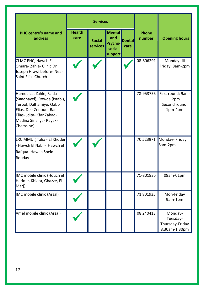| PHC centre's name and<br>address                                                                                                                                                  | <b>Services</b>       |                           |                                                      |                |                 |                                                         |
|-----------------------------------------------------------------------------------------------------------------------------------------------------------------------------------|-----------------------|---------------------------|------------------------------------------------------|----------------|-----------------|---------------------------------------------------------|
|                                                                                                                                                                                   | <b>Health</b><br>care | <b>Social</b><br>services | <b>Mental</b><br>and<br>Psycho-<br>social<br>support | Dental<br>care | Phone<br>number | <b>Opening hours</b>                                    |
| CLMC PHC. Hawch El<br>Omara-Zahle-Clinic Dr<br>Joseph Hrawi before- Near<br>Saint Elias Church                                                                                    |                       |                           |                                                      |                | 08-806291       | Monday till<br>Friday: 8am-2pm                          |
| Humedica, Zahle, Faida<br>(Saadnayel), Rowda (Istabl),<br>Terbol, Dalhamiye, Qabb<br>Elias, Deir Zenoun- Bar<br>Elias- Jdita- Kfar Zabad-<br>Madina Sinaiiya- Rayak-<br>Chamsine) |                       |                           |                                                      |                | 78-953755       | First round: 9am-<br>12pm<br>Second round:<br>1pm-4pm   |
| LRC MMU (Talia - El Khoder<br>- Hawch El Nabi - Hawch el<br>Rafqua - Hawch Sneid -<br>Bouday                                                                                      |                       |                           |                                                      |                | 70 523971       | Monday- Friday<br>8am-2pm                               |
| IMC mobile clinic (Houch el<br>Harime, Khiara, Ghazze, El<br>Mari)                                                                                                                |                       |                           |                                                      |                | 71-801935       | 09am-01pm                                               |
| IMC mobile clinic (Arsal)                                                                                                                                                         |                       |                           |                                                      |                | 71 801935       | Mon-Friday<br>9am-1pm                                   |
| Amel mobile clinic (Arsal)                                                                                                                                                        |                       |                           |                                                      |                | 08 240413       | Monday-<br>Tuesday-<br>Thursday-Friday<br>8.30am-1.30pm |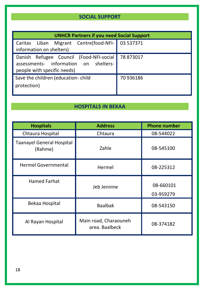## **SOCIAL SUPPORT**

| <b>UNHCR Partners if you need Social Support</b> |           |  |  |  |  |
|--------------------------------------------------|-----------|--|--|--|--|
| Liban Migrant Centre(food-NFI-<br>Caritas        | 03 537371 |  |  |  |  |
| information on shelters)                         |           |  |  |  |  |
| Danish Refugee Council (Food-NFI-social          | 78 873017 |  |  |  |  |
| assessments- information on shelters-            |           |  |  |  |  |
| people with specific needs)                      |           |  |  |  |  |
| Save the children (education-child               | 70 936186 |  |  |  |  |
| protection)                                      |           |  |  |  |  |
|                                                  |           |  |  |  |  |

## **HOSPITALS IN BEKAA**

| <b>Hospitals</b>                            | <b>Address</b>                          | <b>Phone number</b> |  |
|---------------------------------------------|-----------------------------------------|---------------------|--|
| Chtaura Hospital                            | Chtaura                                 | 08-544022           |  |
| <b>Taanayel General Hospital</b><br>(Rahme) | Zahle                                   | 08-545100           |  |
| <b>Hermel Governmental</b>                  | Hermel                                  | 08-225312           |  |
| <b>Hamed Farhat</b>                         | Jeb Jennine                             |                     |  |
| Bekaa Hospital                              | <b>Baalbak</b>                          | 08-543150           |  |
| Al Rayan Hospital                           | Main road, Charaouneh<br>area. Baalbeck | 08-374182           |  |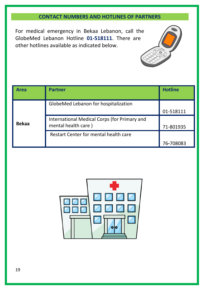## **CONTACT NUMBERS AND HOTLINES OF PARTNERS**

For medical emergency in Bekaa Lebanon, call the GlobeMed Lebanon Hotline **01-518111**. There are other hotlines available as indicated below.



| Area         | <b>Partner</b>                                                      | <b>Hotline</b> |
|--------------|---------------------------------------------------------------------|----------------|
| <b>Bekaa</b> | GlobeMed Lebanon for hospitalization                                | 01-518111      |
|              | International Medical Corps (for Primary and<br>mental health care) | 71-801935      |
|              | Restart Center for mental health care                               | 76-708083      |